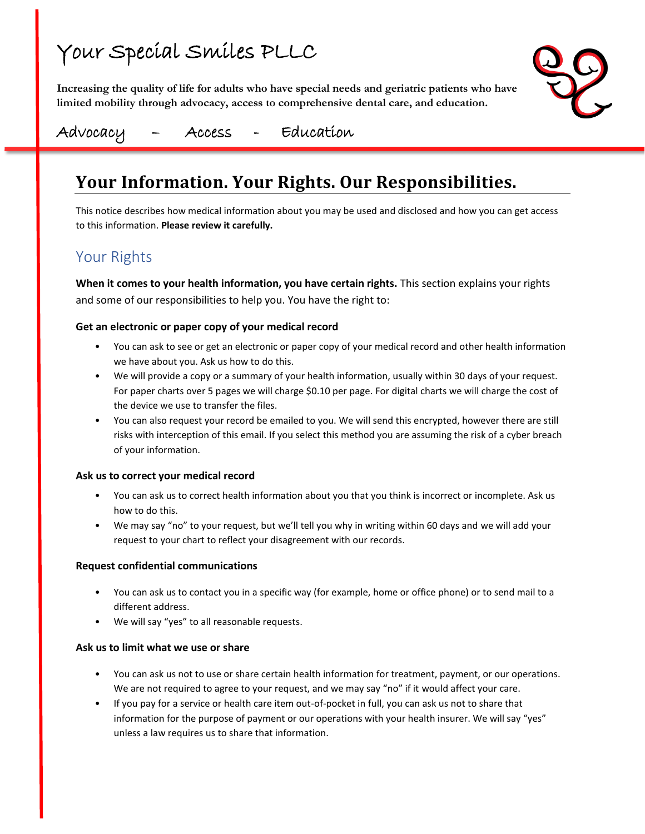**Increasing the quality of life for adults who have special needs and geriatric patients who have limited mobility through advocacy, access to comprehensive dental care, and education.**

Advocacy – Access - Education

## **Your Information. Your Rights. Our Responsibilities.**

This notice describes how medical information about you may be used and disclosed and how you can get access to this information. **Please review it carefully.**

## Your Rights

**When it comes to your health information, you have certain rights.** This section explains your rights and some of our responsibilities to help you. You have the right to:

### **Get an electronic or paper copy of your medical record**

- You can ask to see or get an electronic or paper copy of your medical record and other health information we have about you. Ask us how to do this.
- We will provide a copy or a summary of your health information, usually within 30 days of your request. For paper charts over 5 pages we will charge \$0.10 per page. For digital charts we will charge the cost of the device we use to transfer the files.
- You can also request your record be emailed to you. We will send this encrypted, however there are still risks with interception of this email. If you select this method you are assuming the risk of a cyber breach of your information.

### **Ask us to correct your medical record**

- You can ask us to correct health information about you that you think is incorrect or incomplete. Ask us how to do this.
- We may say "no" to your request, but we'll tell you why in writing within 60 days and we will add your request to your chart to reflect your disagreement with our records.

### **Request confidential communications**

- You can ask us to contact you in a specific way (for example, home or office phone) or to send mail to a different address.
- We will say "yes" to all reasonable requests.

### **Ask us to limit what we use or share**

- You can ask us not to use or share certain health information for treatment, payment, or our operations. We are not required to agree to your request, and we may say "no" if it would affect your care.
- If you pay for a service or health care item out-of-pocket in full, you can ask us not to share that information for the purpose of payment or our operations with your health insurer. We will say "yes" unless a law requires us to share that information.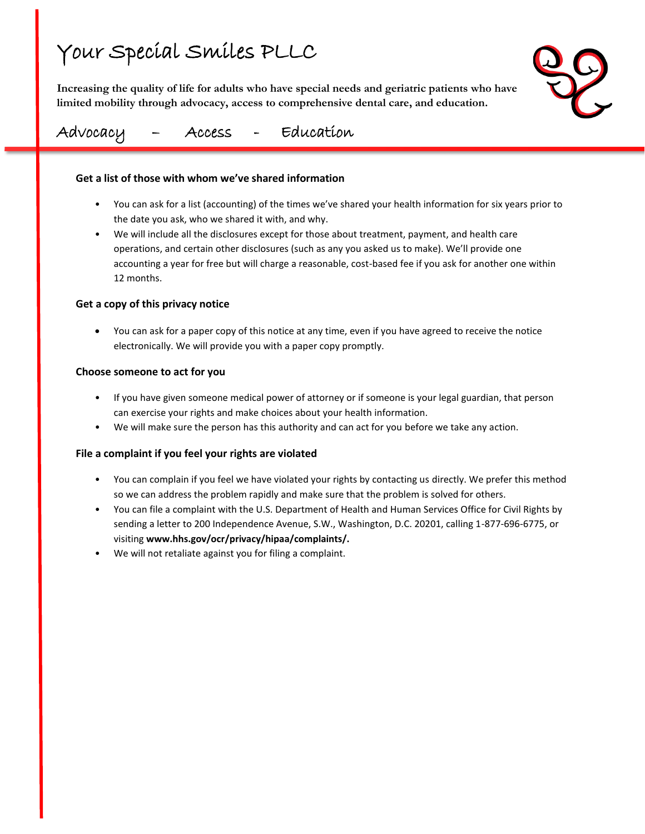**Increasing the quality of life for adults who have special needs and geriatric patients who have limited mobility through advocacy, access to comprehensive dental care, and education.**



Advocacy – Access - Education

### **Get a list of those with whom we've shared information**

- You can ask for a list (accounting) of the times we've shared your health information for six years prior to the date you ask, who we shared it with, and why.
- We will include all the disclosures except for those about treatment, payment, and health care operations, and certain other disclosures (such as any you asked us to make). We'll provide one accounting a year for free but will charge a reasonable, cost-based fee if you ask for another one within 12 months.

### **Get a copy of this privacy notice**

• You can ask for a paper copy of this notice at any time, even if you have agreed to receive the notice electronically. We will provide you with a paper copy promptly.

### **Choose someone to act for you**

- If you have given someone medical power of attorney or if someone is your legal guardian, that person can exercise your rights and make choices about your health information.
- We will make sure the person has this authority and can act for you before we take any action.

### **File a complaint if you feel your rights are violated**

- You can complain if you feel we have violated your rights by contacting us directly. We prefer this method so we can address the problem rapidly and make sure that the problem is solved for others.
- You can file a complaint with the U.S. Department of Health and Human Services Office for Civil Rights by sending a letter to 200 Independence Avenue, S.W., Washington, D.C. 20201, calling 1-877-696-6775, or visiting **www.hhs.gov/ocr/privacy/hipaa/complaints/.**
- We will not retaliate against you for filing a complaint.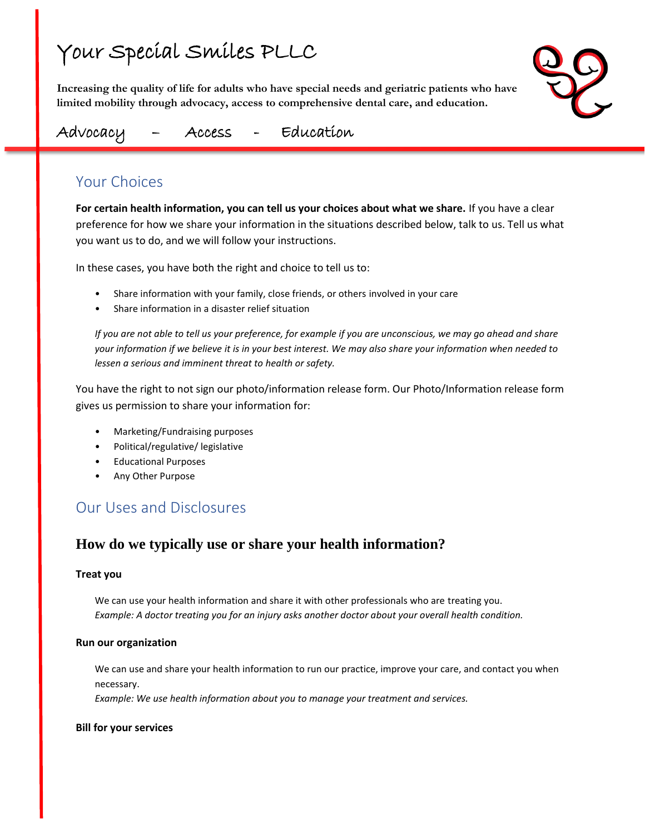**Increasing the quality of life for adults who have special needs and geriatric patients who have limited mobility through advocacy, access to comprehensive dental care, and education.**



Advocacy – Access - Education

## Your Choices

**For certain health information, you can tell us your choices about what we share.** If you have a clear preference for how we share your information in the situations described below, talk to us. Tell us what you want us to do, and we will follow your instructions.

In these cases, you have both the right and choice to tell us to:

- Share information with your family, close friends, or others involved in your care
- Share information in a disaster relief situation

*If you are not able to tell us your preference, for example if you are unconscious, we may go ahead and share your information if we believe it is in your best interest. We may also share your information when needed to lessen a serious and imminent threat to health or safety.*

You have the right to not sign our photo/information release form. Our Photo/Information release form gives us permission to share your information for:

- Marketing/Fundraising purposes
- Political/regulative/ legislative
- Educational Purposes
- Any Other Purpose

## Our Uses and Disclosures

### **How do we typically use or share your health information?**

### **Treat you**

We can use your health information and share it with other professionals who are treating you. *Example: A doctor treating you for an injury asks another doctor about your overall health condition.*

### **Run our organization**

We can use and share your health information to run our practice, improve your care, and contact you when necessary.

*Example: We use health information about you to manage your treatment and services.* 

### **Bill for your services**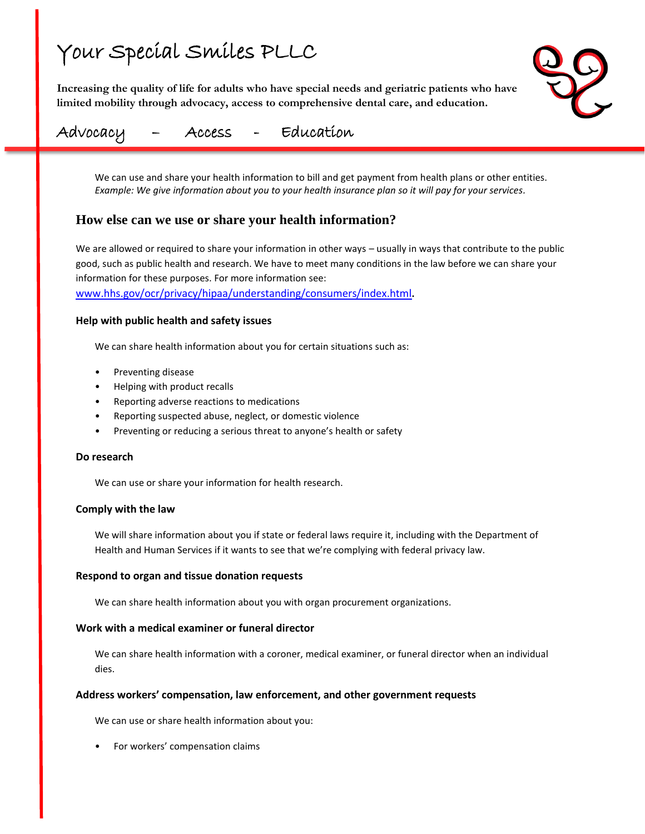**Increasing the quality of life for adults who have special needs and geriatric patients who have limited mobility through advocacy, access to comprehensive dental care, and education.**



Advocacy – Access - Education

We can use and share your health information to bill and get payment from health plans or other entities. *Example: We give information about you to your health insurance plan so it will pay for your services.* 

### **How else can we use or share your health information?**

We are allowed or required to share your information in other ways – usually in ways that contribute to the public good, such as public health and research. We have to meet many conditions in the law before we can share your information for these purposes. For more information see:

[www.hhs.gov/ocr/privacy/hipaa/understanding/consumers/index.html](http://www.hhs.gov/ocr/privacy/hipaa/understanding/consumers/index.html)**.**

### **Help with public health and safety issues**

We can share health information about you for certain situations such as:

- Preventing disease
- Helping with product recalls
- Reporting adverse reactions to medications
- Reporting suspected abuse, neglect, or domestic violence
- Preventing or reducing a serious threat to anyone's health or safety

### **Do research**

We can use or share your information for health research.

### **Comply with the law**

We will share information about you if state or federal laws require it, including with the Department of Health and Human Services if it wants to see that we're complying with federal privacy law.

### **Respond to organ and tissue donation requests**

We can share health information about you with organ procurement organizations.

### **Work with a medical examiner or funeral director**

We can share health information with a coroner, medical examiner, or funeral director when an individual dies.

### **Address workers' compensation, law enforcement, and other government requests**

We can use or share health information about you:

• For workers' compensation claims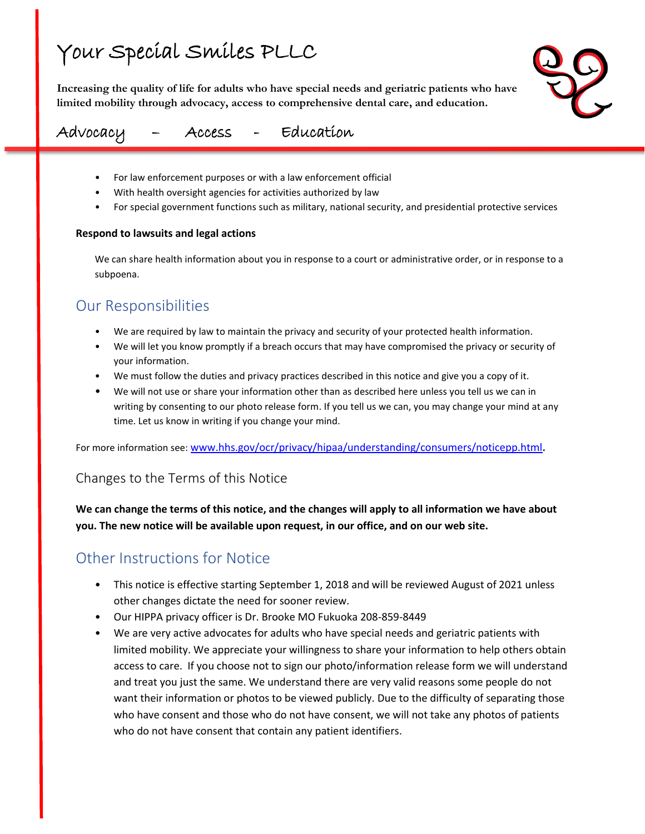**Increasing the quality of life for adults who have special needs and geriatric patients who have limited mobility through advocacy, access to comprehensive dental care, and education.**



### Advocacy – Access - Education

- For law enforcement purposes or with a law enforcement official
- With health oversight agencies for activities authorized by law
- For special government functions such as military, national security, and presidential protective services

### **Respond to lawsuits and legal actions**

We can share health information about you in response to a court or administrative order, or in response to a subpoena.

## Our Responsibilities

- We are required by law to maintain the privacy and security of your protected health information.
- We will let you know promptly if a breach occurs that may have compromised the privacy or security of your information.
- We must follow the duties and privacy practices described in this notice and give you a copy of it.
- We will not use or share your information other than as described here unless you tell us we can in writing by consenting to our photo release form. If you tell us we can, you may change your mind at any time. Let us know in writing if you change your mind.

For more information see: [www.hhs.gov/ocr/privacy/hipaa/understanding/consumers/noticepp.html](http://www.hhs.gov/ocr/privacy/hipaa/understanding/consumers/noticepp.html)**.**

### Changes to the Terms of this Notice

**We can change the terms of this notice, and the changes will apply to all information we have about you. The new notice will be available upon request, in our office, and on our web site.**

## Other Instructions for Notice

- This notice is effective starting September 1, 2018 and will be reviewed August of 2021 unless other changes dictate the need for sooner review.
- Our HIPPA privacy officer is Dr. Brooke MO Fukuoka 208-859-8449
- We are very active advocates for adults who have special needs and geriatric patients with limited mobility. We appreciate your willingness to share your information to help others obtain access to care. If you choose not to sign our photo/information release form we will understand and treat you just the same. We understand there are very valid reasons some people do not want their information or photos to be viewed publicly. Due to the difficulty of separating those who have consent and those who do not have consent, we will not take any photos of patients who do not have consent that contain any patient identifiers.